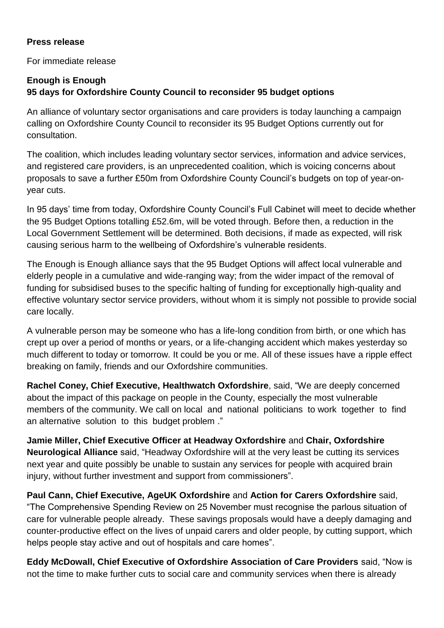## **Press release**

For immediate release

## **Enough is Enough 95 days for Oxfordshire County Council to reconsider 95 budget options**

An alliance of voluntary sector organisations and care providers is today launching a campaign calling on Oxfordshire County Council to reconsider its 95 Budget Options currently out for consultation.

The coalition, which includes leading voluntary sector services, information and advice services, and registered care providers, is an unprecedented coalition, which is voicing concerns about proposals to save a further £50m from Oxfordshire County Council's budgets on top of year-onyear cuts.

In 95 days' time from today, Oxfordshire County Council's Full Cabinet will meet to decide whether the 95 Budget Options totalling £52.6m, will be voted through. Before then, a reduction in the Local Government Settlement will be determined. Both decisions, if made as expected, will risk causing serious harm to the wellbeing of Oxfordshire's vulnerable residents.

The Enough is Enough alliance says that the 95 Budget Options will affect local vulnerable and elderly people in a cumulative and wide-ranging way; from the wider impact of the removal of funding for subsidised buses to the specific halting of funding for exceptionally high-quality and effective voluntary sector service providers, without whom it is simply not possible to provide social care locally.

A vulnerable person may be someone who has a life-long condition from birth, or one which has crept up over a period of months or years, or a life-changing accident which makes yesterday so much different to today or tomorrow. It could be you or me. All of these issues have a ripple effect breaking on family, friends and our Oxfordshire communities.

**Rachel Coney, Chief Executive, Healthwatch Oxfordshire**, said, "We are deeply concerned about the impact of this package on people in the County, especially the most vulnerable members of the community. We call on local and national politicians to work together to find an alternative solution to this budget problem ."

**Jamie Miller, Chief Executive Officer at Headway Oxfordshire** and **Chair, Oxfordshire Neurological Alliance** said, "Headway Oxfordshire will at the very least be cutting its services next year and quite possibly be unable to sustain any services for people with acquired brain injury, without further investment and support from commissioners".

**Paul Cann, Chief Executive, AgeUK Oxfordshire** and **Action for Carers Oxfordshire** said, "The Comprehensive Spending Review on 25 November must recognise the parlous situation of care for vulnerable people already. These savings proposals would have a deeply damaging and counter-productive effect on the lives of unpaid carers and older people, by cutting support, which helps people stay active and out of hospitals and care homes".

**Eddy McDowall, Chief Executive of Oxfordshire Association of Care Providers** said, "Now is not the time to make further cuts to social care and community services when there is already